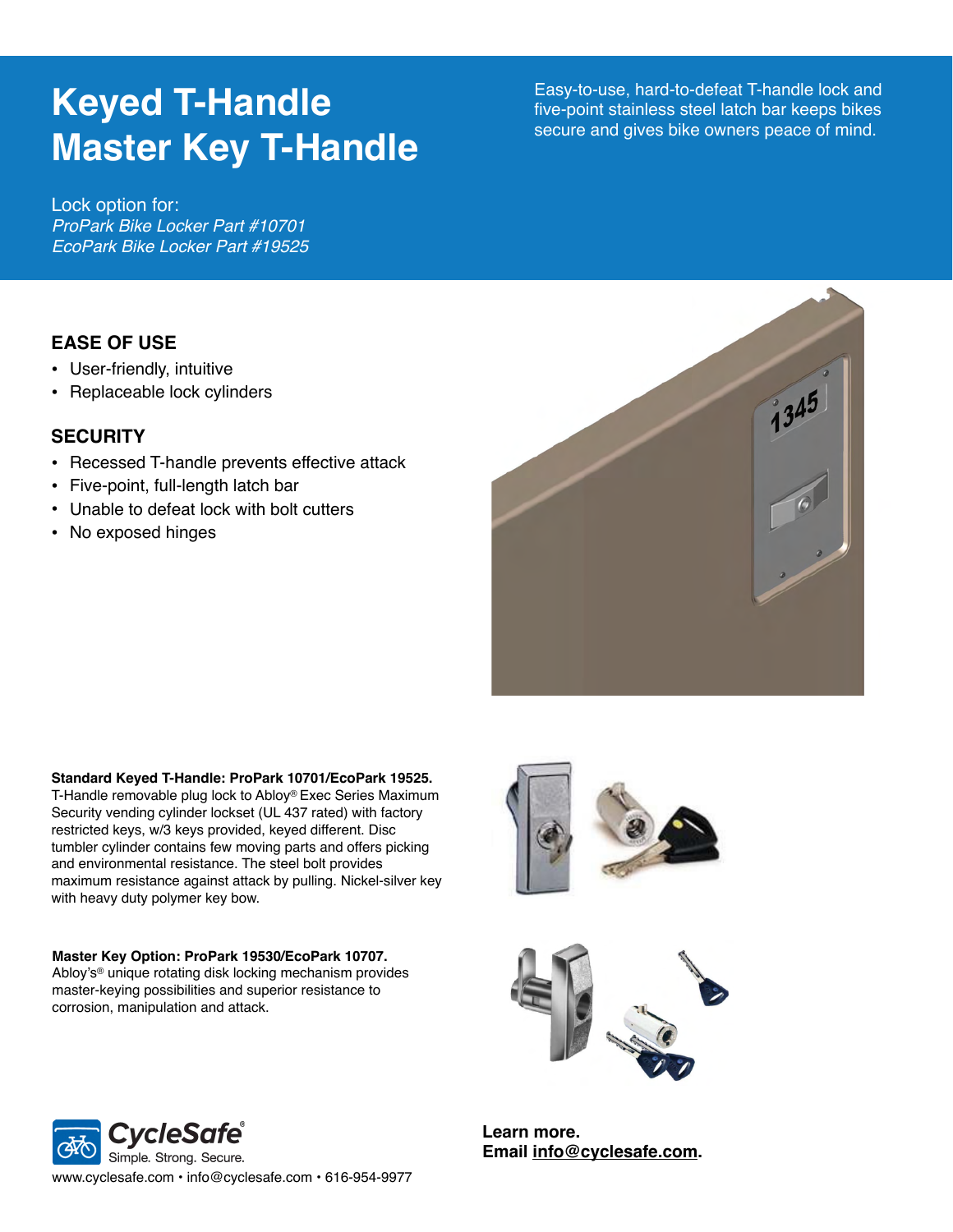# **Keyed T-Handle Master Key T-Handle**

Easy-to-use, hard-to-defeat T-handle lock and five-point stainless steel latch bar keeps bikes secure and gives bike owners peace of mind.

Lock option for: *ProPark Bike Locker Part #10701 EcoPark Bike Locker Part #19525*

## **EASE OF USE**

- User-friendly, intuitive
- Replaceable lock cylinders

### **SECURITY**

- Recessed T-handle prevents effective attack
- Five-point, full-length latch bar
- Unable to defeat lock with bolt cutters
- No exposed hinges



#### **Standard Keyed T-Handle: ProPark 10701/EcoPark 19525.**

T-Handle removable plug lock to Abloy® Exec Series Maximum Security vending cylinder lockset (UL 437 rated) with factory restricted keys, w/3 keys provided, keyed different. Disc tumbler cylinder contains few moving parts and offers picking and environmental resistance. The steel bolt provides maximum resistance against attack by pulling. Nickel-silver key with heavy duty polymer key bow.

**Master Key Option: ProPark 19530/EcoPark 10707.** Abloy's® unique rotating disk locking mechanism provides master-keying possibilities and superior resistance to corrosion, manipulation and attack.





**Learn more. Email [info@cyclesafe.com](mailto:info@cyclesafe.com).**